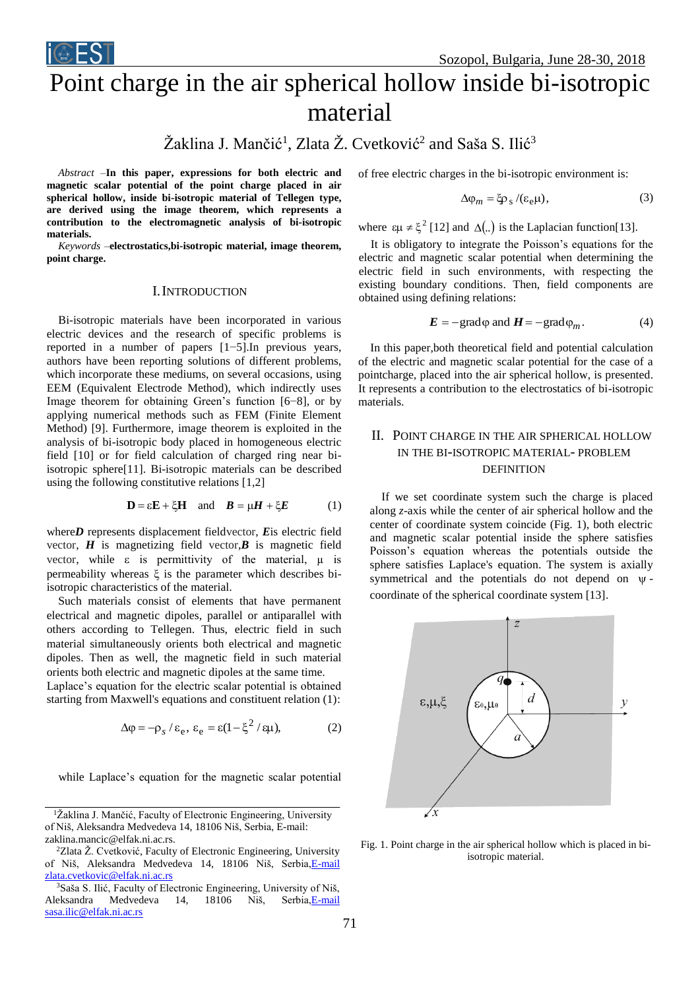

# Point charge in the air spherical hollow inside bi-isotropic material

# Žaklina J. Mančić<sup>1</sup>, Zlata Ž. Cvetković<sup>2</sup> and Saša S. Ilić<sup>3</sup>

*Abstract –***In this paper, expressions for both electric and magnetic scalar potential of the point charge placed in air spherical hollow, inside bi-isotropic material of Tellegen type, are derived using the image theorem, which represents a contribution to the electromagnetic analysis of bi-isotropic materials.**

*Keywords –***electrostatics,bi-isotropic material, image theorem, point charge.** 

## I.INTRODUCTION

Bi-isotropic materials have been incorporated in various electric devices and the research of specific problems is reported in a number of papers [1−5].In previous years, authors have been reporting solutions of different problems, which incorporate these mediums, on several occasions, using EEM (Equivalent Electrode Method), which indirectly uses Image theorem for obtaining Green's function [6−8], or by applying numerical methods such as FEM (Finite Element Method) [9]. Furthermore, image theorem is exploited in the analysis of bi-isotropic body placed in homogeneous electric field [10] or for field calculation of charged ring near biisotropic sphere[11]. Bi-isotropic materials can be described using the following constitutive relations [1,2]

$$
\mathbf{D} = \varepsilon \mathbf{E} + \xi \mathbf{H} \quad \text{and} \quad \mathbf{B} = \mu \mathbf{H} + \xi \mathbf{E} \tag{1}
$$

where*D* represents displacement fieldvector, *E*is electric field vector,  $H$  is magnetizing field vector, $B$  is magnetic field vector, while  $\varepsilon$  is permittivity of the material,  $\mu$  is permeability whereas  $\xi$  is the parameter which describes biisotropic characteristics of the material.

Such materials consist of elements that have permanent electrical and magnetic dipoles, parallel or antiparallel with others according to Tellegen. Thus, electric field in such material simultaneously orients both electrical and magnetic dipoles. Then as well, the magnetic field in such material orients both electric and magnetic dipoles at the same time.

Laplace's equation for the electric scalar potential is obtained starting from Maxwell's equations and constituent relation (1):

$$
\Delta \varphi = -\rho_s / \varepsilon_e, \, \varepsilon_e = \varepsilon (1 - \xi^2 / \varepsilon \mu), \tag{2}
$$

while Laplace's equation for the magnetic scalar potential

of free electric charges in the bi-isotropic environment is:

$$
\Delta \varphi_m = \xi \varphi_s / (\varepsilon_e \mu), \qquad (3)
$$

where  $\epsilon \mu \neq \xi^2$  [12] and  $\Delta(.)$  is the Laplacian function [13].

It is obligatory to integrate the Poisson's equations for the electric and magnetic scalar potential when determining the electric field in such environments, with respecting the existing boundary conditions. Then, field components are obtained using defining relations:

$$
E = -\text{grad}\varphi \text{ and } H = -\text{grad}\varphi_m. \tag{4}
$$

In this paper,both theoretical field and potential calculation of the electric and magnetic scalar potential for the case of a pointcharge, placed into the air spherical hollow, is presented. It represents a contribution to the electrostatics of bi-isotropic materials.

# II. POINT CHARGE IN THE AIR SPHERICAL HOLLOW IN THE BI-ISOTROPIC MATERIAL- PROBLEM DEFINITION

If we set coordinate system such the charge is placed along *z*-axis while the center of air spherical hollow and the center of coordinate system coincide (Fig. 1), both electric and magnetic scalar potential inside the sphere satisfies Poisson's equation whereas the potentials outside the sphere satisfies Laplace's equation. The system is axially symmetrical and the potentials do not depend on  $\psi$ coordinate of the spherical coordinate system [13].



Fig. 1. Point charge in the air spherical hollow which is placed in biisotropic material.

<sup>&</sup>lt;sup>1</sup>Žaklina J. Mančić, Faculty of Electronic Engineering, University of Niš, Aleksandra Medvedeva 14, 18106 Niš, Serbia, E-mail: zaklina.mancic@elfak.ni.ac.rs.

<sup>2</sup>Zlata Ž. Cvetković, Faculty of Electronic Engineering, University of Niš, Aleksandra Medvedeva 14, 18106 Niš, Serbia, E-mail [zlata.cvetkovic@elfak.ni.ac.rs](mailto:E-mail%20zlata.cvetkovic@elfak.ni.ac.rs)

<sup>3</sup>Saša S. Ilić, Faculty of Electronic Engineering, University of Niš, Aleksandra Medvedeva 14, 18106 Niš, Serbi[a,E-mail](mailto:E-mail%20sasa.ilic@elfak.ni.ac.rs)  [sasa.ilic@elfak.ni.ac.rs](mailto:E-mail%20sasa.ilic@elfak.ni.ac.rs)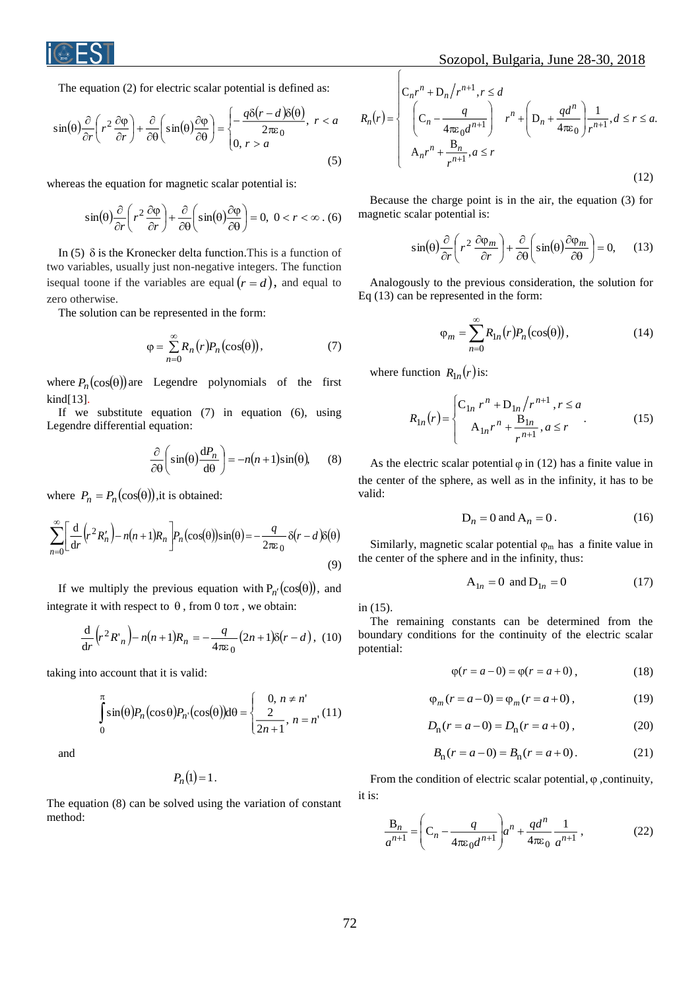

The equation (2) for electric scalar potential is defined as:

$$
\sin(\theta) \frac{\partial}{\partial r} \left( r^2 \frac{\partial \varphi}{\partial r} \right) + \frac{\partial}{\partial \theta} \left( \sin(\theta) \frac{\partial \varphi}{\partial \theta} \right) = \begin{cases} -\frac{q \delta (r - d) \delta(\theta)}{2 \pi \varepsilon_0}, & r < a \\ 0, & r > a \end{cases}
$$
\n(5)

whereas the equation for magnetic scalar potential is:

$$
\sin(\theta) \frac{\partial}{\partial r} \left( r^2 \frac{\partial \varphi}{\partial r} \right) + \frac{\partial}{\partial \theta} \left( \sin(\theta) \frac{\partial \varphi}{\partial \theta} \right) = 0, \ 0 < r < \infty \tag{6}
$$

In  $(5)$   $\delta$  is the Kronecker delta function. This is a function of two variables, usually just non-negative integers. The function isequal toone if the variables are equal  $(r = d)$ , and equal to zero otherwise.

The solution can be represented in the form:

$$
\varphi = \sum_{n=0}^{\infty} R_n(r) P_n(\cos(\theta)), \tag{7}
$$

where  $P_n(\cos(\theta))$  are Legendre polynomials of the first kind[13].

If we substitute equation (7) in equation (6), using Legendre differential equation:

$$
\frac{\partial}{\partial \theta} \left( \sin(\theta) \frac{dP_n}{d\theta} \right) = -n(n+1)\sin(\theta), \qquad (8)
$$

where  $P_n = P_n(\cos(\theta))$ , it is obtained:

$$
\sum_{n=0}^{\infty} \left[ \frac{d}{dr} \left( r^2 R_n' \right) - n(n+1) R_n \right] P_n(\cos(\theta)) \sin(\theta) = -\frac{q}{2\pi \varepsilon_0} \delta(r-d) \delta(\theta)
$$
\n(9)

If we multiply the previous equation with  $P_{n'}(\cos(\theta))$ , and integrate it with respect to  $\theta$ , from 0 to $\pi$ , we obtain:

$$
\frac{d}{dr}\left(r^2 R'_n\right) - n(n+1)R_n = -\frac{q}{4\pi\epsilon_0} (2n+1)\delta(r-d), \tag{10}
$$

taking into account that it is valid:

$$
\int_{0}^{\pi} \sin(\theta) P_n(\cos \theta) P_n(\cos(\theta)) d\theta = \begin{cases} 0, n \neq n' \\ \frac{2}{2n+1}, n = n' \end{cases}
$$
(11)

and

$$
P_n(1)=1.
$$

The equation (8) can be solved using the variation of constant method:

$$
R_n(r) = \begin{cases} C_n r^n + D_n/r^{n+1}, & r \le d \\ \left(C_n - \frac{q}{4\pi\varepsilon_0 d^{n+1}}\right) & r^n + \left(D_n + \frac{qd^n}{4\pi\varepsilon_0}\right) \frac{1}{r^{n+1}}, & d \le r \le a. \\ A_n r^n + \frac{B_n}{r^{n+1}}, & a \le r \end{cases}
$$
(12)

Because the charge point is in the air, the equation (3) for magnetic scalar potential is:

$$
\sin(\theta) \frac{\partial}{\partial r} \left( r^2 \frac{\partial \varphi_m}{\partial r} \right) + \frac{\partial}{\partial \theta} \left( \sin(\theta) \frac{\partial \varphi_m}{\partial \theta} \right) = 0, \quad (13)
$$

Analogously to the previous consideration, the solution for Eq (13) can be represented in the form:

$$
\varphi_m = \sum_{n=0}^{\infty} R_{1n}(r) P_n(\cos(\theta)), \qquad (14)
$$

where function  $R_{1n}(r)$  is:

$$
R_{1n}(r) = \begin{cases} C_{1n} r^n + D_{1n} / r^{n+1}, r \le a \\ A_{1n} r^n + \frac{B_{1n}}{r^{n+1}}, a \le r \end{cases}
$$
 (15)

As the electric scalar potential  $\varphi$  in (12) has a finite value in the center of the sphere, as well as in the infinity, it has to be valid:

$$
D_n = 0 \text{ and } A_n = 0. \tag{16}
$$

Similarly, magnetic scalar potential  $\varphi_m$  has a finite value in the center of the sphere and in the infinity, thus:

$$
A_{1n} = 0 \text{ and } D_{1n} = 0 \tag{17}
$$

in (15).

The remaining constants can be determined from the boundary conditions for the continuity of the electric scalar potential:

$$
\varphi(r = a - 0) = \varphi(r = a + 0), \tag{18}
$$

$$
\varphi_m(r = a - 0) = \varphi_m(r = a + 0), \tag{19}
$$

$$
D_{n}(r = a - 0) = D_{n}(r = a + 0), \qquad (20)
$$

$$
B_n(r = a - 0) = B_n(r = a + 0).
$$
 (21)

From the condition of electric scalar potential,  $\varphi$ , continuity, it is:

$$
\frac{B_n}{a^{n+1}} = \left(C_n - \frac{q}{4\pi\varepsilon_0 d^{n+1}}\right) a^n + \frac{qd^n}{4\pi\varepsilon_0} \frac{1}{a^{n+1}},
$$
\n(22)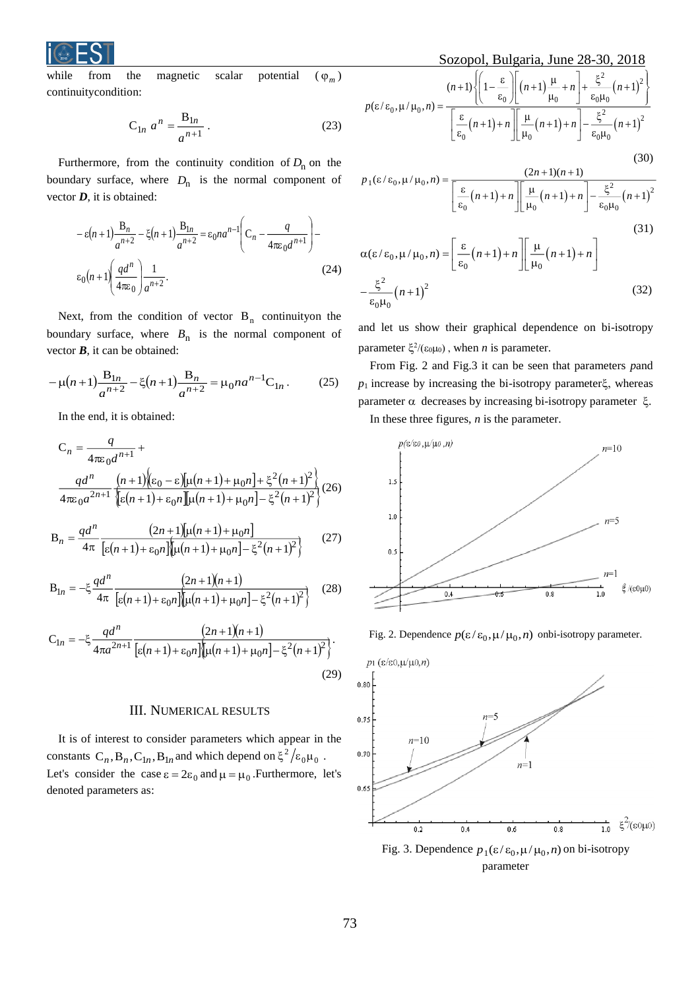

while from the magnetic scalar potential  $\varphi_m$ ) continuitycondition:

$$
C_{1n} a^n = \frac{B_{1n}}{a^{n+1}}.
$$
 (23)

Furthermore, from the continuity condition of  $D_n$  on the boundary surface, where  $D_n$  is the normal component of vector *D*, it is obtained:

$$
-\varepsilon(n+1)\frac{B_n}{a^{n+2}} - \xi(n+1)\frac{B_{1n}}{a^{n+2}} = \varepsilon_0 n a^{n-1} \left(C_n - \frac{q}{4\pi\varepsilon_0 d^{n+1}}\right) - \varepsilon_0 (n+1) \left(\frac{qd^n}{4\pi\varepsilon_0}\right) \frac{1}{a^{n+2}}.
$$
\n(24)

Next, from the condition of vector  $B_n$  continuityon the boundary surface, where  $B_n$  is the normal component of vector  $\boldsymbol{B}$ , it can be obtained:

$$
-\mu(n+1)\frac{B_{1n}}{a^{n+2}} - \xi(n+1)\frac{B_n}{a^{n+2}} = \mu_0 n a^{n-1} C_{1n}.
$$
 (25)

In the end, it is obtained:

$$
C_n = \frac{q}{4\pi\epsilon_0 d^{n+1}} +
$$
  

$$
\frac{qd^n}{4\pi\epsilon_0 a^{2n+1}} \frac{(n+1) \left( \epsilon_0 - \epsilon \right) \left[ \mu(n+1) + \mu_0 n \right] + \xi^2 (n+1)^2}{\left[ \epsilon(n+1) + \epsilon_0 n \right] \left[ \mu(n+1) + \mu_0 n \right] - \xi^2 (n+1)^2}
$$
  

$$
d_n = \frac{d^n}{4\pi\epsilon_0 a^{2n+1}} \left( \frac{1}{2} \left( \mu(n+1) + \mu_0 n \right) - \xi^2 (n+1)^2 \right)
$$

$$
B_n = \frac{qd^n}{4\pi} \frac{(2n+1)[\mu(n+1) + \mu_0 n]}{\left[\varepsilon(n+1) + \varepsilon_0 n\right] [\mu(n+1) + \mu_0 n] - \xi^2(n+1)^2}
$$
(27)

$$
B_{1n} = -\xi \frac{qd^n}{4\pi} \frac{(2n+1)(n+1)}{[\varepsilon(n+1) + \varepsilon_0 n] [\mu(n+1) + \mu_0 n] - \xi^2 (n+1)^2}
$$
 (28)

$$
C_{1n} = -\xi \frac{qd^n}{4\pi a^{2n+1}} \frac{(2n+1)(n+1)}{[\varepsilon(n+1) + \varepsilon_0 n] [\mu(n+1) + \mu_0 n] - \xi^2 (n+1)^2}.
$$
\n(29)

### III. NUMERICAL RESULTS

It is of interest to consider parameters which appear in the constants  $C_n$ ,  $B_n$ ,  $C_{1n}$ ,  $B_{1n}$  and which depend on  $\xi^2 / \varepsilon_0 \mu_0$ . Let's consider the case  $\epsilon = 2\varepsilon_0$  and  $\mu = \mu_0$ . Furthermore, let's denoted parameters as:

$$
\frac{\text{Sozopol, Bulgaria, June 28-30, 2018}}{\text{al} \quad (\varphi_m)}
$$
\n
$$
p(\varepsilon/\varepsilon_0, \mu/\mu_0, n) = \frac{(n+1)\left\{\left(1 - \frac{\varepsilon}{\varepsilon_0}\right)\left[(n+1)\frac{\mu}{\mu_0} + n\right] + \frac{\xi^2}{\varepsilon_0\mu_0}\left(n+1\right)^2\right\}}{\left[\frac{\varepsilon}{\varepsilon_0}\left(n+1\right) + n\right]\left[\frac{\mu}{\mu_0}\left(n+1\right) + n\right] - \frac{\xi^2}{\varepsilon_0\mu_0}\left(n+1\right)^2}
$$
\n
$$
(23)
$$
\n
$$
D \text{ on the } (30)
$$

$$
p_1(\varepsilon/\varepsilon_0, \mu/\mu_0, n) = \frac{(2n+1)(n+1)}{\left[\frac{\varepsilon}{\varepsilon_0}(n+1) + n\right] \left[\frac{\mu}{\mu_0}(n+1) + n\right] - \frac{\xi^2}{\varepsilon_0 \mu_0}(n+1)^2}
$$
\n
$$
\alpha(\varepsilon/\varepsilon_0, \mu/\mu_0, n) = \left[\frac{\varepsilon}{\varepsilon_0}(n+1) + n\right] \left[\frac{\mu}{\mu_0}(n+1) + n\right]
$$
\n
$$
-\frac{\xi^2}{\mu_0}(n+1)^2
$$
\n(32)

and let us show their graphical dependence on bi-isotropy parameter  $\xi^2/(\epsilon_0\mu_0)$ , when *n* is parameter.

 $\epsilon_{0}\mu_{0}$ 

From Fig. 2 and Fig.3 it can be seen that parameters *p*and  $p_1$  increase by increasing the bi-isotropy parameter $\xi$ , whereas parameter  $\alpha$  decreases by increasing bi-isotropy parameter  $\xi$ . In these three figures, *n* is the parameter.



Fig. 2. Dependence  $p(\varepsilon/\varepsilon_0, \mu/\mu_0, n)$  onbi-isotropy parameter.



parameter